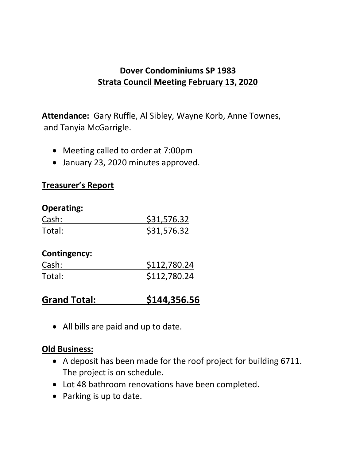## **Dover Condominiums SP 1983 Strata Council Meeting February 13, 2020**

**Attendance:** Gary Ruffle, Al Sibley, Wayne Korb, Anne Townes, and Tanyia McGarrigle.

- Meeting called to order at 7:00pm
- January 23, 2020 minutes approved.

### **Treasurer's Report**

### **Operating:**

| Cash:               | \$31,576.32  |
|---------------------|--------------|
| Total:              | \$31,576.32  |
| <b>Contingency:</b> |              |
| Cash:               | \$112,780.24 |
| Total:              | \$112,780.24 |

# **Grand Total: \$144,356.56**

• All bills are paid and up to date.

### **Old Business:**

- A deposit has been made for the roof project for building 6711. The project is on schedule.
- Lot 48 bathroom renovations have been completed.
- Parking is up to date.